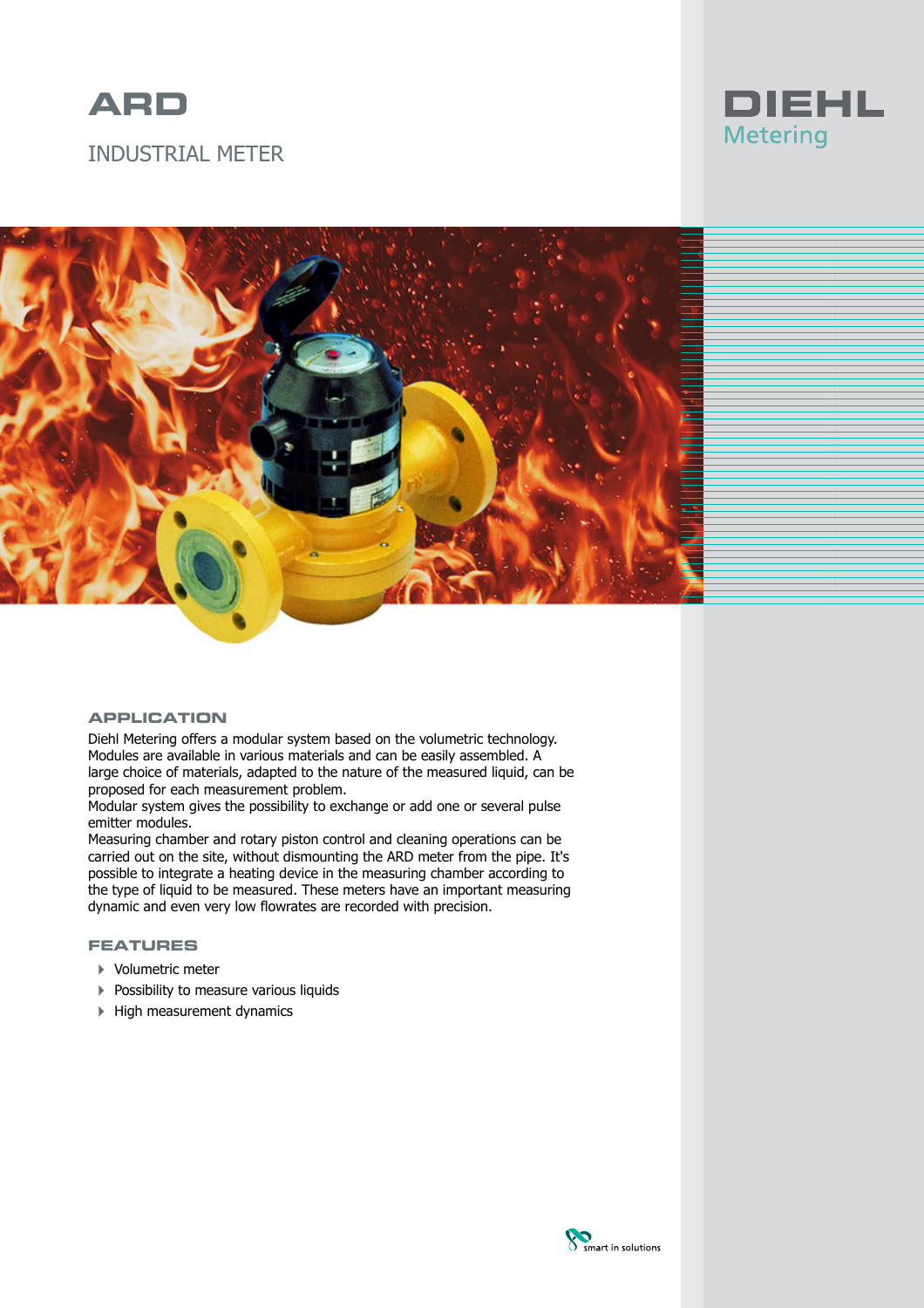

# INDUSTRIAL METER





# **APPLICATION**

Diehl Metering offers a modular system based on the volumetric technology. Modules are available in various materials and can be easily assembled. A large choice of materials, adapted to the nature of the measured liquid, can be proposed for each measurement problem.

Modular system gives the possibility to exchange or add one or several pulse emitter modules.

Measuring chamber and rotary piston control and cleaning operations can be carried out on the site, without dismounting the ARD meter from the pipe. It's possible to integrate a heating device in the measuring chamber according to the type of liquid to be measured. These meters have an important measuring dynamic and even very low flowrates are recorded with precision.

# **FEATURES**

- 4 Volumetric meter
- **Possibility to measure various liquids**
- 4 High measurement dynamics

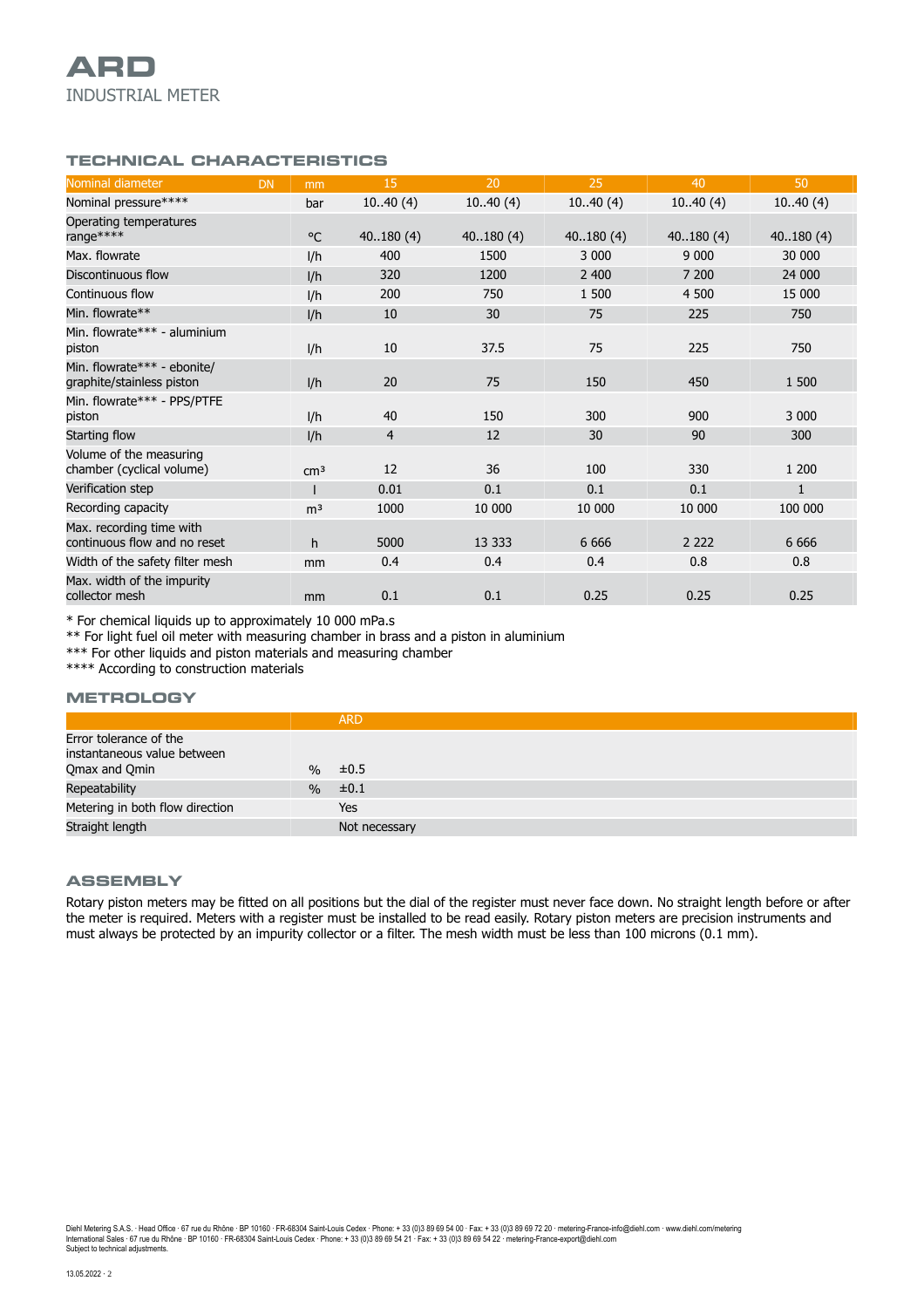## **TECHNICAL CHARACTERISTICS**

| Nominal diameter                                         | <b>DN</b><br>mm |              | 15       | 20       | 25       | 40       | 50           |
|----------------------------------------------------------|-----------------|--------------|----------|----------|----------|----------|--------------|
| Nominal pressure****                                     |                 | bar          | 1040(4)  | 1040(4)  | 1040(4)  | 1040(4)  | 1040(4)      |
| Operating temperatures<br>range ****                     |                 | $^{\circ}$ C | 40180(4) | 40180(4) | 40180(4) | 40180(4) | 40180(4)     |
| Max. flowrate                                            | I/h             |              | 400      | 1500     | 3 0 0 0  | 9 0 0 0  | 30 000       |
| Discontinuous flow                                       |                 | I/h          | 320      | 1200     | 2 400    | 7 200    | 24 000       |
| Continuous flow                                          |                 | l/h          | 200      | 750      | 1 500    | 4 500    | 15 000       |
| Min. flowrate**                                          | I/h             |              | 10       | 30       | 75       | 225      | 750          |
| Min. flowrate*** - aluminium<br>piston                   |                 | I/h          | 10       | 37.5     | 75       | 225      | 750          |
| Min. flowrate*** - ebonite/<br>graphite/stainless piston |                 | I/h          | 20       | 75       | 150      | 450      | 1 500        |
| Min. flowrate*** - PPS/PTFE<br>piston                    |                 | I/h          | 40       | 150      | 300      | 900      | 3 0 0 0      |
| Starting flow                                            |                 | I/h          | 4        | 12       | 30       | 90       | 300          |
| Volume of the measuring<br>chamber (cyclical volume)     | cm <sup>3</sup> |              | 12       | 36       | 100      | 330      | 1 200        |
| Verification step                                        |                 |              | 0.01     | 0.1      | 0.1      | 0.1      | $\mathbf{1}$ |
| Recording capacity                                       | m <sup>3</sup>  |              | 1000     | 10 000   | 10 000   | 10 000   | 100 000      |
| Max. recording time with<br>continuous flow and no reset |                 | h            | 5000     | 13 3 3 3 | 6 6 6 6  | 2 2 2 2  | 6 6 6 6      |
| Width of the safety filter mesh                          |                 | mm           | 0.4      | 0.4      | 0.4      | 0.8      | 0.8          |
| Max. width of the impurity<br>collector mesh             |                 | mm           | 0.1      | 0.1      | 0.25     | 0.25     | 0.25         |

\* For chemical liquids up to approximately 10 000 mPa.s

\*\* For light fuel oil meter with measuring chamber in brass and a piston in aluminium

\*\*\* For other liquids and piston materials and measuring chamber

\*\*\*\* According to construction materials

#### **METROLOGY**

|                                                                        |               | <b>ARD</b>    |
|------------------------------------------------------------------------|---------------|---------------|
| Error tolerance of the<br>instantaneous value between<br>Qmax and Qmin |               | $% \neq 0.5$  |
| Repeatability                                                          | $\frac{0}{0}$ | $\pm 0.1$     |
| Metering in both flow direction                                        |               | Yes           |
| Straight length                                                        |               | Not necessary |

#### **ASSEMBLY**

Rotary piston meters may be fitted on all positions but the dial of the register must never face down. No straight length before or after the meter is required. Meters with a register must be installed to be read easily. Rotary piston meters are precision instruments and must always be protected by an impurity collector or a filter. The mesh width must be less than 100 microns (0.1 mm).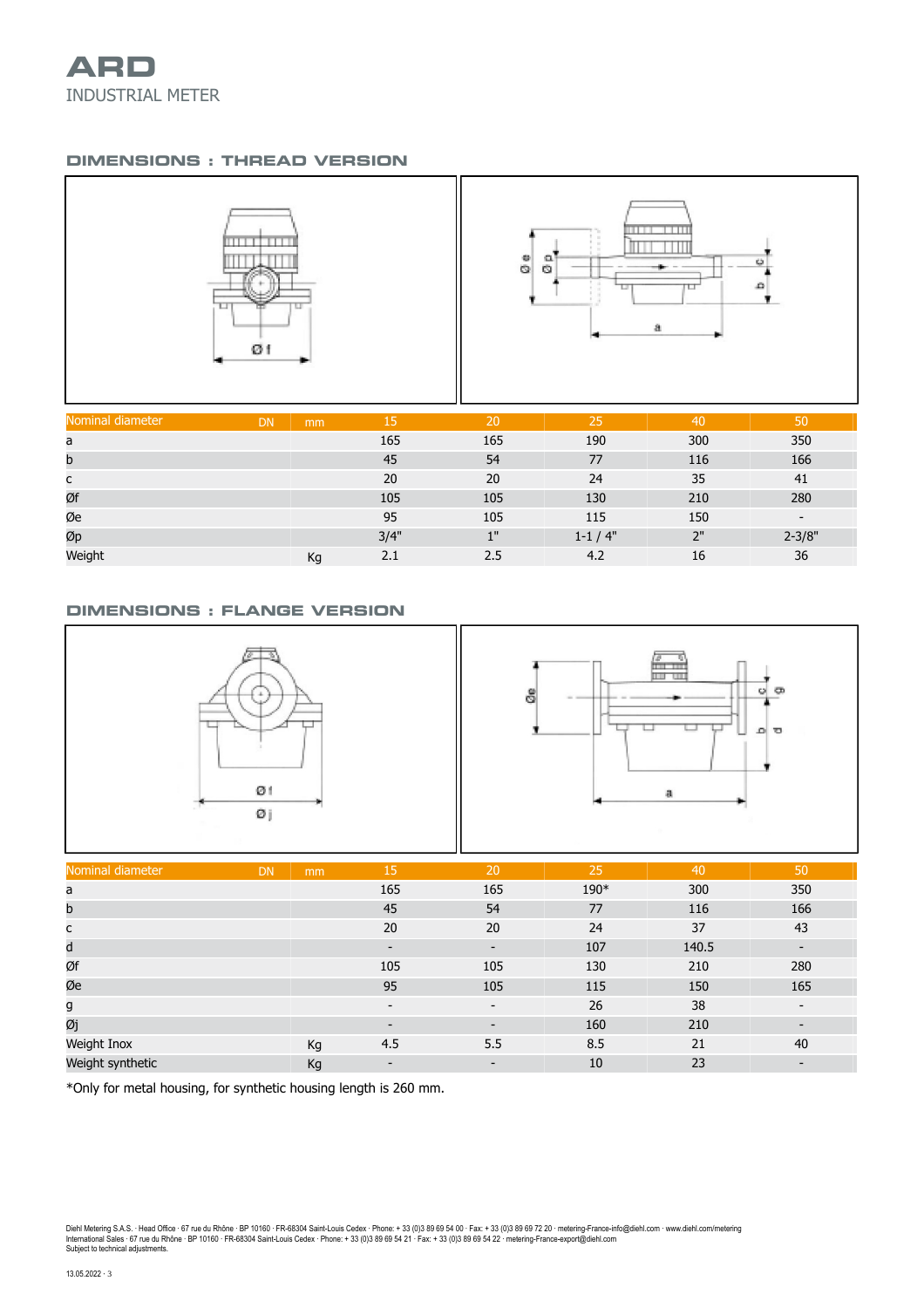

# **DIMENSIONS : THREAD VERSION**



| Nominal diameter | <b>DN</b> | mm | 15   | '20 | 25           | 40  | 50                       |
|------------------|-----------|----|------|-----|--------------|-----|--------------------------|
| a                |           |    | 165  | 165 | 190          | 300 | 350                      |
| b                |           |    | 45   | 54  | 77           | 116 | 166                      |
| с                |           |    | 20   | 20  | 24           | 35  | 41                       |
| Øf               |           |    | 105  | 105 | 130          | 210 | 280                      |
| Øe               |           |    | 95   | 105 | 115          | 150 | $\overline{\phantom{0}}$ |
| Øp               |           |    | 3/4" | 1"  | $1 - 1 / 4"$ | 2"  | $2 - 3/8"$               |
| Weight           |           | Kg | 2.1  | 2.5 | 4.2          | 16  | 36                       |

### **DIMENSIONS : FLANGE VERSION**



| Nominal diameter | <b>DN</b> | mm | 15                       | 20                           | 25   | 40    | 50                       |
|------------------|-----------|----|--------------------------|------------------------------|------|-------|--------------------------|
| a                |           |    | 165                      | 165                          | 190* | 300   | 350                      |
| b                |           |    | 45                       | 54                           | 77   | 116   | 166                      |
| с                |           |    | 20                       | 20                           | 24   | 37    | 43                       |
| d                |           |    | $\overline{\phantom{a}}$ | $\overline{\phantom{0}}$     | 107  | 140.5 | $\overline{\phantom{a}}$ |
| Øf               |           |    | 105                      | 105                          | 130  | 210   | 280                      |
| Øe               |           |    | 95                       | 105                          | 115  | 150   | 165                      |
| g                |           |    | $\overline{\phantom{a}}$ | $\overline{\phantom{a}}$     | 26   | 38    | $\overline{\phantom{a}}$ |
| Øj               |           |    | $\overline{\phantom{a}}$ | $\overline{\phantom{a}}$     | 160  | 210   | $\overline{\phantom{a}}$ |
| Weight Inox      |           | Кg | 4.5                      | 5.5                          | 8.5  | 21    | 40                       |
| Weight synthetic |           | Kg | $\overline{\phantom{a}}$ | $\qquad \qquad \blacksquare$ | 10   | 23    | $\overline{\phantom{a}}$ |

\*Only for metal housing, for synthetic housing length is 260 mm.

Diehl Metering S.A.S. · Head Office · 67 rue du Rhône · BP 10160 · FR-68304 Saint-Louis Cedex · Phone: + 33 (0)3 89 69 54 00 · Fax: + 33 (0)3 89 69 72 20 · metering-France-info@diehl.com · www.diehl.com/metering<br>Internati